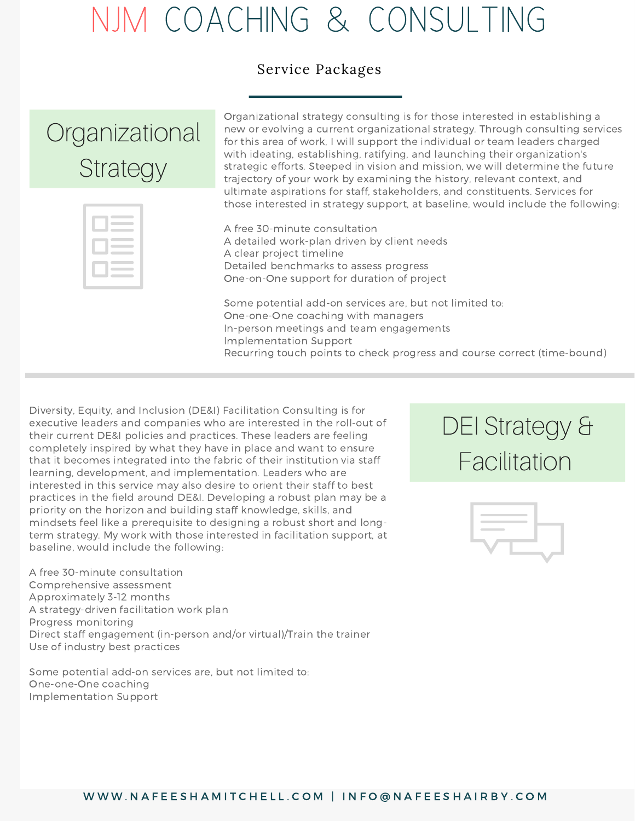## NJM COACHING & CONSULTING

#### Service Packages

### **Organizational Strategy**

Organizational strategy consulting is for those interested in establishing a new or evolving a current organizational strategy. Through consulting services for this area of work, I will support the individual or team leaders charged with ideating, establishing, ratifying, and launching their organization's strategic efforts. Steeped in vision and mission, we will determine the future trajectory of your work by examining the history, relevant context, and ultimate aspirations for staff, stakeholders, and constituents. Services for those interested in strategy support, at baseline, would include the following:

| <b>Contract Contract Contract</b> |  |
|-----------------------------------|--|
|                                   |  |
|                                   |  |
|                                   |  |
|                                   |  |

A free 30-minute consultation A detailed work-plan driven by client needs A clear project timeline Detailed benchmarks to assess progress One-on-One support for duration of project

Some potential add-on services are, but not limited to: One-one-One coaching with managers In-person meetings and team engagements Implementation Support Recurring touch points to check progress and course correct (time-bound)

Diversity, Equity, and Inclusion (DE&I) Facilitation Consulting is for executive leaders and companies who are interested in the roll-out of their current DE&I policies and practices. These leaders are feeling completely inspired by what they have in place and want to ensure that it becomes integrated into the fabric of their institution via staff learning, development, and implementation. Leaders who are interested in this service may also desire to orient their staff to best practices in the field around DE&I. Developing a robust plan may be a priority on the horizon and building staff knowledge, skills, and mindsets feel like a prerequisite to designing a robust short and longterm strategy. My work with those interested in facilitation support, at baseline, would include the following:

A strategy-driven facilitation work plan A free 30-minute consultation Comprehensive assessment Approximately 3-12 months Progress monitoring Direct staff engagement (in-person and/or virtual)/Train the trainer Use of industry best practices

Some potential add-on services are, but not limited to: One-one-One coaching Implementation Support

#### DEI Strategy & Facilitation